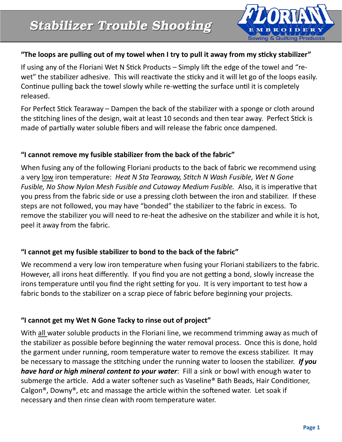

### **"The loops are pulling out of my towel when I try to pull it away from my sticky stabilizer"**

If using any of the Floriani Wet N Stick Products – Simply lift the edge of the towel and "rewet" the stabilizer adhesive. This will reactivate the sticky and it will let go of the loops easily. Continue pulling back the towel slowly while re-wetting the surface until it is completely released.

For Perfect Stick Tearaway – Dampen the back of the stabilizer with a sponge or cloth around the stitching lines of the design, wait at least 10 seconds and then tear away. Perfect Stick is made of partially water soluble fibers and will release the fabric once dampened.

#### **"I cannot remove my fusible stabilizer from the back of the fabric"**

When fusing any of the following Floriani products to the back of fabric we recommend using a very low iron temperature: *Heat N Sta Tearaway, Stitch N Wash Fusible, Wet N Gone Fusible, No Show Nylon Mesh Fusible and Cutaway Medium Fusible.* Also, it is imperative that you press from the fabric side or use a pressing cloth between the iron and stabilizer. If these steps are not followed, you may have "bonded" the stabilizer to the fabric in excess. To remove the stabilizer you will need to re-heat the adhesive on the stabilizer and while it is hot, peel it away from the fabric.

# **"I cannot get my fusible stabilizer to bond to the back of the fabric"**

We recommend a very low iron temperature when fusing your Floriani stabilizers to the fabric. However, all irons heat differently. If you find you are not getting a bond, slowly increase the irons temperature until you find the right setting for you. It is very important to test how a fabric bonds to the stabilizer on a scrap piece of fabric before beginning your projects.

# **"I cannot get my Wet N Gone Tacky to rinse out of project"**

With all water soluble products in the Floriani line, we recommend trimming away as much of the stabilizer as possible before beginning the water removal process. Once this is done, hold the garment under running, room temperature water to remove the excess stabilizer. It may be necessary to massage the stitching under the running water to loosen the stabilizer. *If you have hard or high mineral content to your water*: Fill a sink or bowl with enough water to submerge the article. Add a water softener such as Vaseline® Bath Beads, Hair Conditioner, Calgon®, Downy®, etc and massage the article within the softened water. Let soak if necessary and then rinse clean with room temperature water.